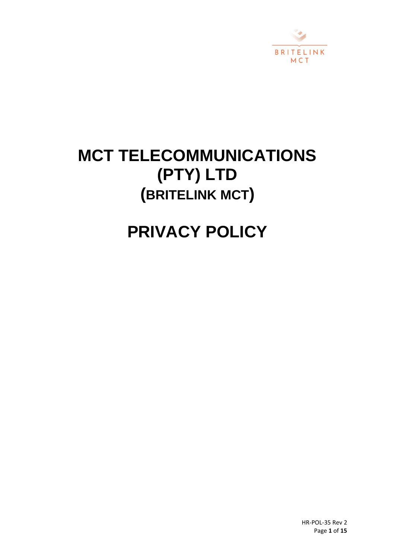

# **MCT TELECOMMUNICATIONS (PTY) LTD (BRITELINK MCT)**

# **PRIVACY POLICY**

HR-POL-35 Rev 2 Page **1** of **15**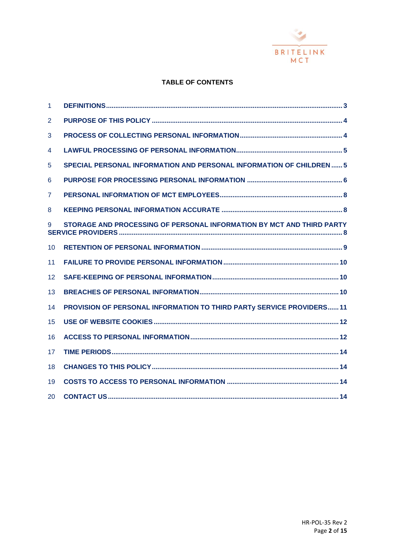

# **TABLE OF CONTENTS**

| $\mathbf{1}$ |                                                                       |
|--------------|-----------------------------------------------------------------------|
| 2            |                                                                       |
| 3            |                                                                       |
| 4            |                                                                       |
| 5            | SPECIAL PERSONAL INFORMATION AND PERSONAL INFORMATION OF CHILDREN  5  |
| 6            |                                                                       |
| 7            |                                                                       |
| 8            |                                                                       |
| 9            | STORAGE AND PROCESSING OF PERSONAL INFORMATION BY MCT AND THIRD PARTY |
| 10           |                                                                       |
| 11           |                                                                       |
| 12           |                                                                       |
| 13           |                                                                       |
| 14           | PROVISION OF PERSONAL INFORMATION TO THIRD PARTy SERVICE PROVIDERS 11 |
| 15           |                                                                       |
| 16           |                                                                       |
| 17           |                                                                       |
| 18           |                                                                       |
| 19           |                                                                       |
| 20           |                                                                       |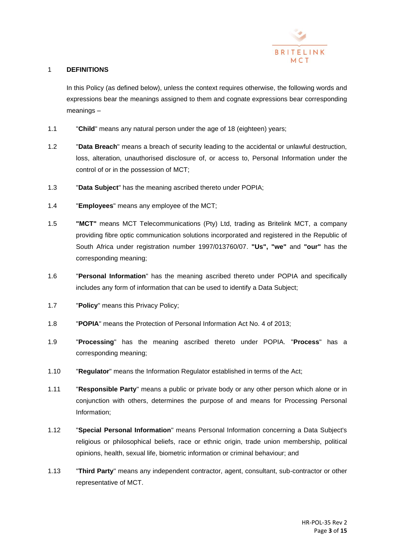

# 1 **DEFINITIONS**

In this Policy (as defined below), unless the context requires otherwise, the following words and expressions bear the meanings assigned to them and cognate expressions bear corresponding meanings –

- 1.1 "**Child**" means any natural person under the age of 18 (eighteen) years;
- 1.2 "**Data Breach**" means a breach of security leading to the accidental or unlawful destruction, loss, alteration, unauthorised disclosure of, or access to, Personal Information under the control of or in the possession of MCT;
- 1.3 "**Data Subject**" has the meaning ascribed thereto under POPIA;
- 1.4 "**Employees**" means any employee of the MCT;
- 1.5 **"MCT"** means MCT Telecommunications (Pty) Ltd, trading as Britelink MCT, a company providing fibre optic communication solutions incorporated and registered in the Republic of South Africa under registration number 1997/013760/07. **"Us", "we"** and **"our"** has the corresponding meaning;
- 1.6 "**Personal Information**" has the meaning ascribed thereto under POPIA and specifically includes any form of information that can be used to identify a Data Subject;
- 1.7 "**Policy**" means this Privacy Policy;
- 1.8 "**POPIA**" means the Protection of Personal Information Act No. 4 of 2013;
- 1.9 "**Processing**" has the meaning ascribed thereto under POPIA. "**Process**" has a corresponding meaning;
- 1.10 "**Regulator**" means the Information Regulator established in terms of the Act;
- 1.11 "**Responsible Party**" means a public or private body or any other person which alone or in conjunction with others, determines the purpose of and means for Processing Personal Information;
- 1.12 "**Special Personal Information**" means Personal Information concerning a Data Subject's religious or philosophical beliefs, race or ethnic origin, trade union membership, political opinions, health, sexual life, biometric information or criminal behaviour; and
- 1.13 "**Third Party**" means any independent contractor, agent, consultant, sub-contractor or other representative of MCT.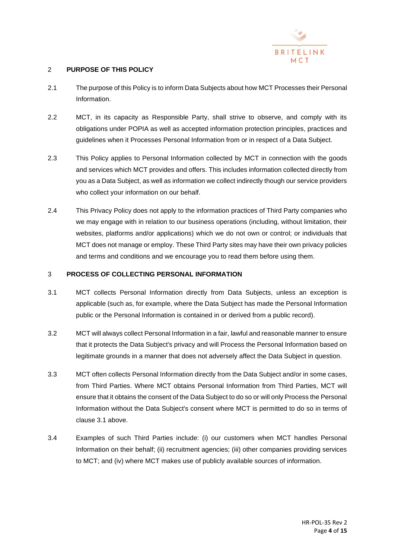

# 2 **PURPOSE OF THIS POLICY**

- 2.1 The purpose of this Policy is to inform Data Subjects about how MCT Processes their Personal Information.
- 2.2 MCT, in its capacity as Responsible Party, shall strive to observe, and comply with its obligations under POPIA as well as accepted information protection principles, practices and guidelines when it Processes Personal Information from or in respect of a Data Subject.
- 2.3 This Policy applies to Personal Information collected by MCT in connection with the goods and services which MCT provides and offers. This includes information collected directly from you as a Data Subject, as well as information we collect indirectly though our service providers who collect your information on our behalf.
- 2.4 This Privacy Policy does not apply to the information practices of Third Party companies who we may engage with in relation to our business operations (including, without limitation, their websites, platforms and/or applications) which we do not own or control; or individuals that MCT does not manage or employ. These Third Party sites may have their own privacy policies and terms and conditions and we encourage you to read them before using them.

# 3 **PROCESS OF COLLECTING PERSONAL INFORMATION**

- <span id="page-3-0"></span>3.1 MCT collects Personal Information directly from Data Subjects, unless an exception is applicable (such as, for example, where the Data Subject has made the Personal Information public or the Personal Information is contained in or derived from a public record).
- 3.2 MCT will always collect Personal Information in a fair, lawful and reasonable manner to ensure that it protects the Data Subject's privacy and will Process the Personal Information based on legitimate grounds in a manner that does not adversely affect the Data Subject in question.
- 3.3 MCT often collects Personal Information directly from the Data Subject and/or in some cases, from Third Parties. Where MCT obtains Personal Information from Third Parties, MCT will ensure that it obtains the consent of the Data Subject to do so or will only Process the Personal Information without the Data Subject's consent where MCT is permitted to do so in terms of clause [3.1](#page-3-0) above.
- 3.4 Examples of such Third Parties include: (i) our customers when MCT handles Personal Information on their behalf; (ii) recruitment agencies; (iii) other companies providing services to MCT; and (iv) where MCT makes use of publicly available sources of information.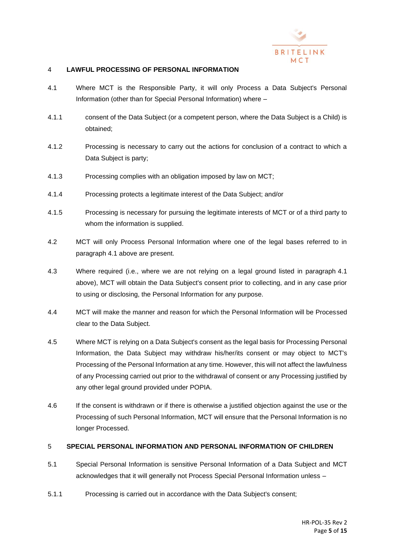

# 4 **LAWFUL PROCESSING OF PERSONAL INFORMATION**

- <span id="page-4-0"></span>4.1 Where MCT is the Responsible Party, it will only Process a Data Subject's Personal Information (other than for Special Personal Information) where –
- 4.1.1 consent of the Data Subject (or a competent person, where the Data Subject is a Child) is obtained;
- 4.1.2 Processing is necessary to carry out the actions for conclusion of a contract to which a Data Subject is party;
- 4.1.3 Processing complies with an obligation imposed by law on MCT;
- 4.1.4 Processing protects a legitimate interest of the Data Subject; and/or
- 4.1.5 Processing is necessary for pursuing the legitimate interests of MCT or of a third party to whom the information is supplied.
- 4.2 MCT will only Process Personal Information where one of the legal bases referred to in paragraph [4.1](#page-4-0) above are present.
- 4.3 Where required (i.e., where we are not relying on a legal ground listed in paragraph [4.1](#page-4-0) above), MCT will obtain the Data Subject's consent prior to collecting, and in any case prior to using or disclosing, the Personal Information for any purpose.
- 4.4 MCT will make the manner and reason for which the Personal Information will be Processed clear to the Data Subject.
- 4.5 Where MCT is relying on a Data Subject's consent as the legal basis for Processing Personal Information, the Data Subject may withdraw his/her/its consent or may object to MCT's Processing of the Personal Information at any time. However, this will not affect the lawfulness of any Processing carried out prior to the withdrawal of consent or any Processing justified by any other legal ground provided under POPIA.
- 4.6 If the consent is withdrawn or if there is otherwise a justified objection against the use or the Processing of such Personal Information, MCT will ensure that the Personal Information is no longer Processed.

# 5 **SPECIAL PERSONAL INFORMATION AND PERSONAL INFORMATION OF CHILDREN**

- 5.1 Special Personal Information is sensitive Personal Information of a Data Subject and MCT acknowledges that it will generally not Process Special Personal Information unless –
- 5.1.1 Processing is carried out in accordance with the Data Subject's consent;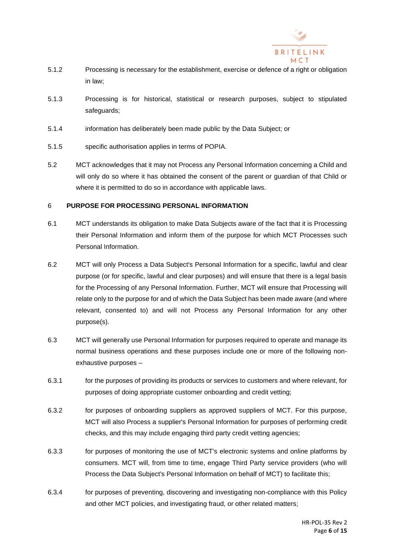

- 5.1.2 Processing is necessary for the establishment, exercise or defence of a right or obligation in law;
- 5.1.3 Processing is for historical, statistical or research purposes, subject to stipulated safeguards:
- 5.1.4 information has deliberately been made public by the Data Subject; or
- 5.1.5 specific authorisation applies in terms of POPIA.
- 5.2 MCT acknowledges that it may not Process any Personal Information concerning a Child and will only do so where it has obtained the consent of the parent or guardian of that Child or where it is permitted to do so in accordance with applicable laws.

# 6 **PURPOSE FOR PROCESSING PERSONAL INFORMATION**

- 6.1 MCT understands its obligation to make Data Subjects aware of the fact that it is Processing their Personal Information and inform them of the purpose for which MCT Processes such Personal Information.
- 6.2 MCT will only Process a Data Subject's Personal Information for a specific, lawful and clear purpose (or for specific, lawful and clear purposes) and will ensure that there is a legal basis for the Processing of any Personal Information. Further, MCT will ensure that Processing will relate only to the purpose for and of which the Data Subject has been made aware (and where relevant, consented to) and will not Process any Personal Information for any other purpose(s).
- <span id="page-5-0"></span>6.3 MCT will generally use Personal Information for purposes required to operate and manage its normal business operations and these purposes include one or more of the following nonexhaustive purposes –
- 6.3.1 for the purposes of providing its products or services to customers and where relevant, for purposes of doing appropriate customer onboarding and credit vetting;
- 6.3.2 for purposes of onboarding suppliers as approved suppliers of MCT. For this purpose, MCT will also Process a supplier's Personal Information for purposes of performing credit checks, and this may include engaging third party credit vetting agencies;
- 6.3.3 for purposes of monitoring the use of MCT's electronic systems and online platforms by consumers. MCT will, from time to time, engage Third Party service providers (who will Process the Data Subject's Personal Information on behalf of MCT) to facilitate this;
- 6.3.4 for purposes of preventing, discovering and investigating non-compliance with this Policy and other MCT policies, and investigating fraud, or other related matters;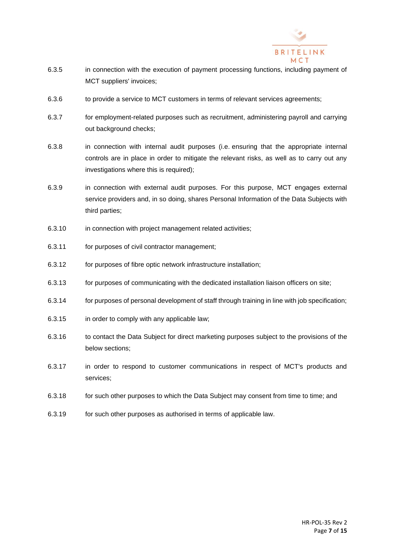

- 6.3.5 in connection with the execution of payment processing functions, including payment of MCT suppliers' invoices;
- 6.3.6 to provide a service to MCT customers in terms of relevant services agreements;
- 6.3.7 for employment-related purposes such as recruitment, administering payroll and carrying out background checks;
- 6.3.8 in connection with internal audit purposes (i.e. ensuring that the appropriate internal controls are in place in order to mitigate the relevant risks, as well as to carry out any investigations where this is required);
- 6.3.9 in connection with external audit purposes. For this purpose, MCT engages external service providers and, in so doing, shares Personal Information of the Data Subjects with third parties;
- 6.3.10 in connection with project management related activities;
- 6.3.11 for purposes of civil contractor management;
- 6.3.12 for purposes of fibre optic network infrastructure installation;
- 6.3.13 for purposes of communicating with the dedicated installation liaison officers on site;
- 6.3.14 for purposes of personal development of staff through training in line with job specification;
- 6.3.15 in order to comply with any applicable law;
- 6.3.16 to contact the Data Subject for direct marketing purposes subject to the provisions of the below sections;
- 6.3.17 in order to respond to customer communications in respect of MCT's products and services;
- 6.3.18 for such other purposes to which the Data Subject may consent from time to time; and
- 6.3.19 for such other purposes as authorised in terms of applicable law.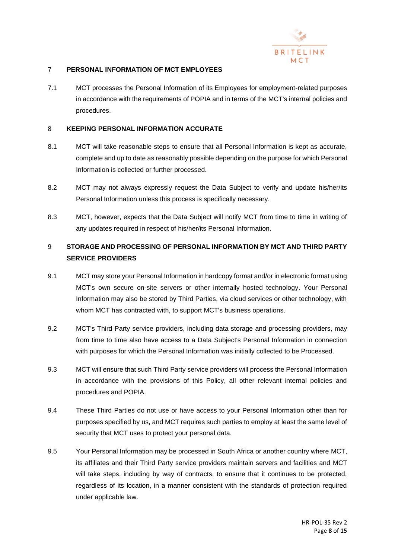

# 7 **PERSONAL INFORMATION OF MCT EMPLOYEES**

7.1 MCT processes the Personal Information of its Employees for employment-related purposes in accordance with the requirements of POPIA and in terms of the MCT's internal policies and procedures.

#### 8 **KEEPING PERSONAL INFORMATION ACCURATE**

- 8.1 MCT will take reasonable steps to ensure that all Personal Information is kept as accurate, complete and up to date as reasonably possible depending on the purpose for which Personal Information is collected or further processed.
- 8.2 MCT may not always expressly request the Data Subject to verify and update his/her/its Personal Information unless this process is specifically necessary.
- 8.3 MCT, however, expects that the Data Subject will notify MCT from time to time in writing of any updates required in respect of his/her/its Personal Information.

# 9 **STORAGE AND PROCESSING OF PERSONAL INFORMATION BY MCT AND THIRD PARTY SERVICE PROVIDERS**

- 9.1 MCT may store your Personal Information in hardcopy format and/or in electronic format using MCT's own secure on-site servers or other internally hosted technology. Your Personal Information may also be stored by Third Parties, via cloud services or other technology, with whom MCT has contracted with, to support MCT's business operations.
- 9.2 MCT's Third Party service providers, including data storage and processing providers, may from time to time also have access to a Data Subject's Personal Information in connection with purposes for which the Personal Information was initially collected to be Processed.
- 9.3 MCT will ensure that such Third Party service providers will process the Personal Information in accordance with the provisions of this Policy, all other relevant internal policies and procedures and POPIA.
- 9.4 These Third Parties do not use or have access to your Personal Information other than for purposes specified by us, and MCT requires such parties to employ at least the same level of security that MCT uses to protect your personal data.
- 9.5 Your Personal Information may be processed in South Africa or another country where MCT, its affiliates and their Third Party service providers maintain servers and facilities and MCT will take steps, including by way of contracts, to ensure that it continues to be protected, regardless of its location, in a manner consistent with the standards of protection required under applicable law.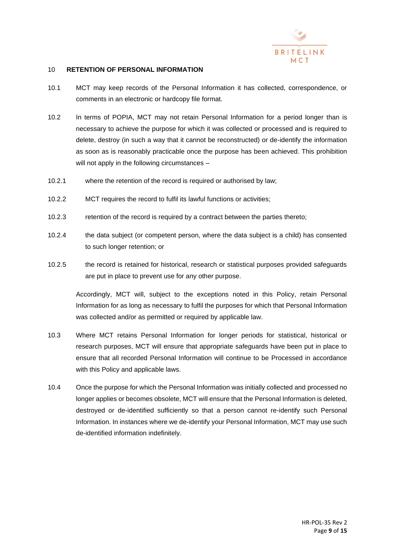

#### 10 **RETENTION OF PERSONAL INFORMATION**

- 10.1 MCT may keep records of the Personal Information it has collected, correspondence, or comments in an electronic or hardcopy file format.
- 10.2 In terms of POPIA, MCT may not retain Personal Information for a period longer than is necessary to achieve the purpose for which it was collected or processed and is required to delete, destroy (in such a way that it cannot be reconstructed) or de-identify the information as soon as is reasonably practicable once the purpose has been achieved. This prohibition will not apply in the following circumstances -
- 10.2.1 where the retention of the record is required or authorised by law;
- 10.2.2 MCT requires the record to fulfil its lawful functions or activities;
- 10.2.3 retention of the record is required by a contract between the parties thereto;
- 10.2.4 the data subject (or competent person, where the data subject is a child) has consented to such longer retention; or
- 10.2.5 the record is retained for historical, research or statistical purposes provided safeguards are put in place to prevent use for any other purpose.

Accordingly, MCT will, subject to the exceptions noted in this Policy, retain Personal Information for as long as necessary to fulfil the purposes for which that Personal Information was collected and/or as permitted or required by applicable law.

- 10.3 Where MCT retains Personal Information for longer periods for statistical, historical or research purposes, MCT will ensure that appropriate safeguards have been put in place to ensure that all recorded Personal Information will continue to be Processed in accordance with this Policy and applicable laws.
- 10.4 Once the purpose for which the Personal Information was initially collected and processed no longer applies or becomes obsolete, MCT will ensure that the Personal Information is deleted, destroyed or de-identified sufficiently so that a person cannot re-identify such Personal Information. In instances where we de-identify your Personal Information, MCT may use such de-identified information indefinitely.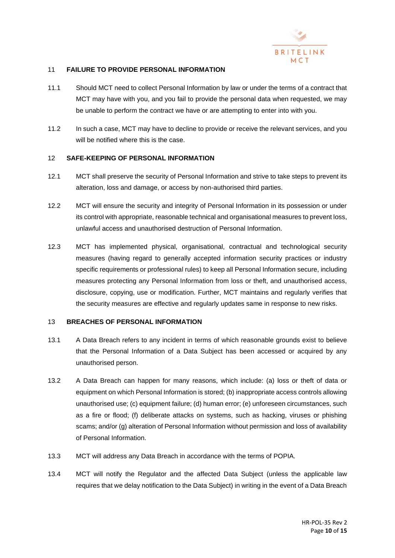

# 11 **FAILURE TO PROVIDE PERSONAL INFORMATION**

- 11.1 Should MCT need to collect Personal Information by law or under the terms of a contract that MCT may have with you, and you fail to provide the personal data when requested, we may be unable to perform the contract we have or are attempting to enter into with you.
- 11.2 In such a case, MCT may have to decline to provide or receive the relevant services, and you will be notified where this is the case.

#### 12 **SAFE-KEEPING OF PERSONAL INFORMATION**

- 12.1 MCT shall preserve the security of Personal Information and strive to take steps to prevent its alteration, loss and damage, or access by non-authorised third parties.
- 12.2 MCT will ensure the security and integrity of Personal Information in its possession or under its control with appropriate, reasonable technical and organisational measures to prevent loss, unlawful access and unauthorised destruction of Personal Information.
- 12.3 MCT has implemented physical, organisational, contractual and technological security measures (having regard to generally accepted information security practices or industry specific requirements or professional rules) to keep all Personal Information secure, including measures protecting any Personal Information from loss or theft, and unauthorised access, disclosure, copying, use or modification. Further, MCT maintains and regularly verifies that the security measures are effective and regularly updates same in response to new risks.

#### 13 **BREACHES OF PERSONAL INFORMATION**

- 13.1 A Data Breach refers to any incident in terms of which reasonable grounds exist to believe that the Personal Information of a Data Subject has been accessed or acquired by any unauthorised person.
- 13.2 A Data Breach can happen for many reasons, which include: (a) loss or theft of data or equipment on which Personal Information is stored; (b) inappropriate access controls allowing unauthorised use; (c) equipment failure; (d) human error; (e) unforeseen circumstances, such as a fire or flood; (f) deliberate attacks on systems, such as hacking, viruses or phishing scams; and/or (g) alteration of Personal Information without permission and loss of availability of Personal Information.
- 13.3 MCT will address any Data Breach in accordance with the terms of POPIA.
- 13.4 MCT will notify the Regulator and the affected Data Subject (unless the applicable law requires that we delay notification to the Data Subject) in writing in the event of a Data Breach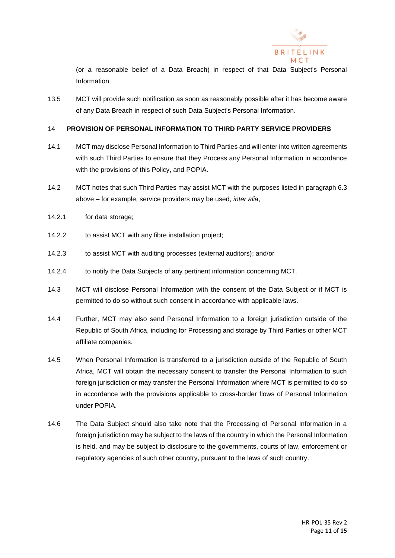

(or a reasonable belief of a Data Breach) in respect of that Data Subject's Personal Information.

13.5 MCT will provide such notification as soon as reasonably possible after it has become aware of any Data Breach in respect of such Data Subject's Personal Information.

# 14 **PROVISION OF PERSONAL INFORMATION TO THIRD PARTY SERVICE PROVIDERS**

- 14.1 MCT may disclose Personal Information to Third Parties and will enter into written agreements with such Third Parties to ensure that they Process any Personal Information in accordance with the provisions of this Policy, and POPIA.
- 14.2 MCT notes that such Third Parties may assist MCT with the purposes listed in paragraph [6.3](#page-5-0) above – for example, service providers may be used, *inter alia*,
- 14.2.1 for data storage;
- 14.2.2 to assist MCT with any fibre installation project;
- 14.2.3 to assist MCT with auditing processes (external auditors); and/or
- 14.2.4 to notify the Data Subjects of any pertinent information concerning MCT.
- 14.3 MCT will disclose Personal Information with the consent of the Data Subject or if MCT is permitted to do so without such consent in accordance with applicable laws.
- 14.4 Further, MCT may also send Personal Information to a foreign jurisdiction outside of the Republic of South Africa, including for Processing and storage by Third Parties or other MCT affiliate companies.
- 14.5 When Personal Information is transferred to a jurisdiction outside of the Republic of South Africa, MCT will obtain the necessary consent to transfer the Personal Information to such foreign jurisdiction or may transfer the Personal Information where MCT is permitted to do so in accordance with the provisions applicable to cross-border flows of Personal Information under POPIA.
- 14.6 The Data Subject should also take note that the Processing of Personal Information in a foreign jurisdiction may be subject to the laws of the country in which the Personal Information is held, and may be subject to disclosure to the governments, courts of law, enforcement or regulatory agencies of such other country, pursuant to the laws of such country.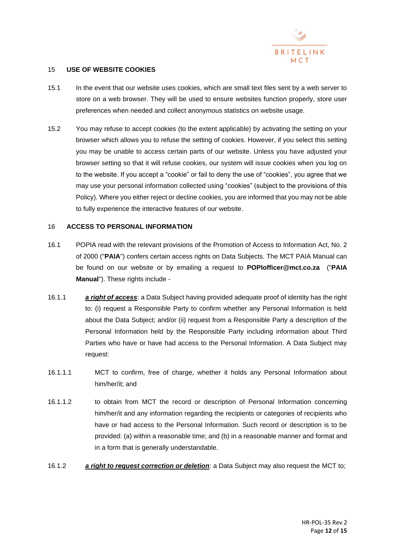

# 15 **USE OF WEBSITE COOKIES**

- 15.1 In the event that our website uses cookies, which are small text files sent by a web server to store on a web browser. They will be used to ensure websites function properly, store user preferences when needed and collect anonymous statistics on website usage.
- 15.2 You may refuse to accept cookies (to the extent applicable) by activating the setting on your browser which allows you to refuse the setting of cookies. However, if you select this setting you may be unable to access certain parts of our website. Unless you have adjusted your browser setting so that it will refuse cookies, our system will issue cookies when you log on to the website. If you accept a "cookie" or fail to deny the use of "cookies", you agree that we may use your personal information collected using "cookies" (subject to the provisions of this Policy). Where you either reject or decline cookies, you are informed that you may not be able to fully experience the interactive features of our website.

#### 16 **ACCESS TO PERSONAL INFORMATION**

- 16.1 POPIA read with the relevant provisions of the Promotion of Access to Information Act, No. 2 of 2000 ("**PAIA**") confers certain access rights on Data Subjects. The MCT PAIA Manual can be found on our website or by emailing a request to **[POPIofficer@mct.co.za](mailto:POPIofficer@mct.co.za)** ("**PAIA Manual**"). These rights include -
- 16.1.1 *a right of access*: a Data Subject having provided adequate proof of identity has the right to: (i) request a Responsible Party to confirm whether any Personal Information is held about the Data Subject; and/or (ii) request from a Responsible Party a description of the Personal Information held by the Responsible Party including information about Third Parties who have or have had access to the Personal Information. A Data Subject may request:
- 16.1.1.1 MCT to confirm, free of charge, whether it holds any Personal Information about him/her/it; and
- 16.1.1.2 to obtain from MCT the record or description of Personal Information concerning him/her/it and any information regarding the recipients or categories of recipients who have or had access to the Personal Information. Such record or description is to be provided: (a) within a reasonable time; and (b) in a reasonable manner and format and in a form that is generally understandable.
- 16.1.2 *a right to request correction or deletion*: a Data Subject may also request the MCT to;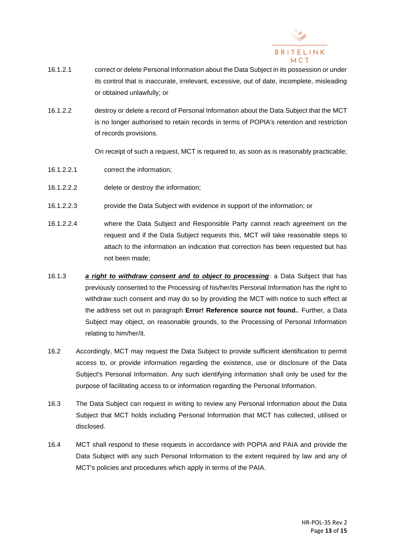

- 16.1.2.1 correct or delete Personal Information about the Data Subject in its possession or under its control that is inaccurate, irrelevant, excessive, out of date, incomplete, misleading or obtained unlawfully; or
- 16.1.2.2 destroy or delete a record of Personal Information about the Data Subject that the MCT is no longer authorised to retain records in terms of POPIA's retention and restriction of records provisions.

On receipt of such a request, MCT is required to, as soon as is reasonably practicable;

- 16.1.2.2.1 correct the information;
- 16.1.2.2.2 delete or destroy the information;
- 16.1.2.2.3 provide the Data Subject with evidence in support of the information; or
- 16.1.2.2.4 where the Data Subject and Responsible Party cannot reach agreement on the request and if the Data Subject requests this, MCT will take reasonable steps to attach to the information an indication that correction has been requested but has not been made;
- 16.1.3 *a right to withdraw consent and to object to processing*: a Data Subject that has previously consented to the Processing of his/her/its Personal Information has the right to withdraw such consent and may do so by providing the MCT with notice to such effect at the address set out in paragraph **Error! Reference source not found.**. Further, a Data Subject may object, on reasonable grounds, to the Processing of Personal Information relating to him/her/it.
- 16.2 Accordingly, MCT may request the Data Subject to provide sufficient identification to permit access to, or provide information regarding the existence, use or disclosure of the Data Subject's Personal Information. Any such identifying information shall only be used for the purpose of facilitating access to or information regarding the Personal Information.
- 16.3 The Data Subject can request in writing to review any Personal Information about the Data Subject that MCT holds including Personal Information that MCT has collected, utilised or disclosed.
- 16.4 MCT shall respond to these requests in accordance with POPIA and PAIA and provide the Data Subject with any such Personal Information to the extent required by law and any of MCT's policies and procedures which apply in terms of the PAIA.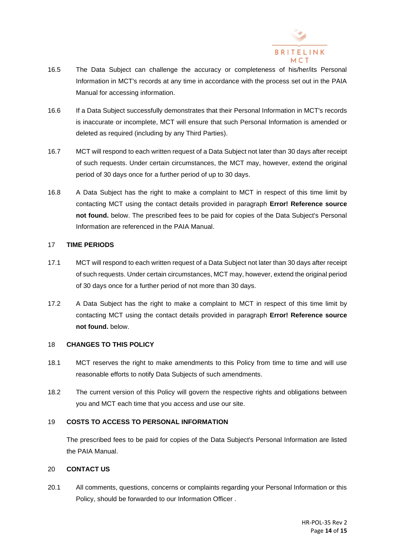

- 16.5 The Data Subject can challenge the accuracy or completeness of his/her/its Personal Information in MCT's records at any time in accordance with the process set out in the PAIA Manual for accessing information.
- 16.6 If a Data Subject successfully demonstrates that their Personal Information in MCT's records is inaccurate or incomplete, MCT will ensure that such Personal Information is amended or deleted as required (including by any Third Parties).
- 16.7 MCT will respond to each written request of a Data Subject not later than 30 days after receipt of such requests. Under certain circumstances, the MCT may, however, extend the original period of 30 days once for a further period of up to 30 days.
- 16.8 A Data Subject has the right to make a complaint to MCT in respect of this time limit by contacting MCT using the contact details provided in paragraph **Error! Reference source not found.** below. The prescribed fees to be paid for copies of the Data Subject's Personal Information are referenced in the PAIA Manual.

# 17 **TIME PERIODS**

- 17.1 MCT will respond to each written request of a Data Subject not later than 30 days after receipt of such requests. Under certain circumstances, MCT may, however, extend the original period of 30 days once for a further period of not more than 30 days.
- 17.2 A Data Subject has the right to make a complaint to MCT in respect of this time limit by contacting MCT using the contact details provided in paragraph **Error! Reference source not found.** below.

# 18 **CHANGES TO THIS POLICY**

- 18.1 MCT reserves the right to make amendments to this Policy from time to time and will use reasonable efforts to notify Data Subjects of such amendments.
- 18.2 The current version of this Policy will govern the respective rights and obligations between you and MCT each time that you access and use our site.

# 19 **COSTS TO ACCESS TO PERSONAL INFORMATION**

The prescribed fees to be paid for copies of the Data Subject's Personal Information are listed the PAIA Manual.

# 20 **CONTACT US**

20.1 All comments, questions, concerns or complaints regarding your Personal Information or this Policy, should be forwarded to our Information Officer .